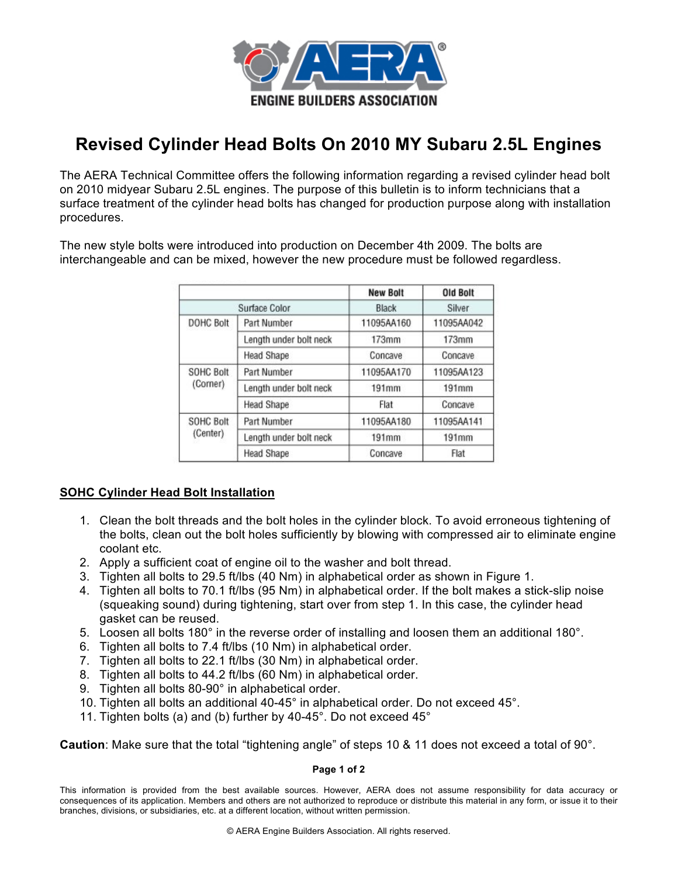

## **Revised Cylinder Head Bolts On 2010 MY Subaru 2.5L Engines**

The AERA Technical Committee offers the following information regarding a revised cylinder head bolt on 2010 midyear Subaru 2.5L engines. The purpose of this bulletin is to inform technicians that a surface treatment of the cylinder head bolts has changed for production purpose along with installation procedures.

The new style bolts were introduced into production on December 4th 2009. The bolts are interchangeable and can be mixed, however the new procedure must be followed regardless.

|                              |                        | <b>New Bolt</b> | <b>Old Bolt</b> |
|------------------------------|------------------------|-----------------|-----------------|
| Surface Color                |                        | Black           | Silver          |
| <b>DOHC Bolt</b>             | Part Number            | 11095AA160      | 11095AA042      |
|                              | Length under bolt neck | 173mm           | 173mm           |
|                              | <b>Head Shape</b>      | Concave         | Concave         |
| <b>SOHC Bolt</b><br>(Corner) | Part Number            | 11095AA170      | 11095AA123      |
|                              | Length under bolt neck | 191mm           | 191mm           |
|                              | <b>Head Shape</b>      | Flat            | Concave         |
| <b>SOHC Bolt</b><br>(Center) | Part Number            | 11095AA180      | 11095AA141      |
|                              | Length under bolt neck | 191mm           | 191mm           |
|                              | <b>Head Shape</b>      | Concave         | Flat            |

## **SOHC Cylinder Head Bolt Installation**

- 1. Clean the bolt threads and the bolt holes in the cylinder block. To avoid erroneous tightening of the bolts, clean out the bolt holes sufficiently by blowing with compressed air to eliminate engine coolant etc.
- 2. Apply a sufficient coat of engine oil to the washer and bolt thread.
- 3. Tighten all bolts to 29.5 ft/lbs (40 Nm) in alphabetical order as shown in Figure 1.
- 4. Tighten all bolts to 70.1 ft/lbs (95 Nm) in alphabetical order. If the bolt makes a stick-slip noise (squeaking sound) during tightening, start over from step 1. In this case, the cylinder head gasket can be reused.
- 5. Loosen all bolts 180° in the reverse order of installing and loosen them an additional 180°.
- 6. Tighten all bolts to 7.4 ft/lbs (10 Nm) in alphabetical order.
- 7. Tighten all bolts to 22.1 ft/lbs (30 Nm) in alphabetical order.
- 8. Tighten all bolts to 44.2 ft/lbs (60 Nm) in alphabetical order.
- 9. Tighten all bolts 80-90° in alphabetical order.
- 10. Tighten all bolts an additional 40-45° in alphabetical order. Do not exceed 45°.
- 11. Tighten bolts (a) and (b) further by 40-45°. Do not exceed 45°

**Caution**: Make sure that the total "tightening angle" of steps 10 & 11 does not exceed a total of 90°.

## **Page 1 of 2**

This information is provided from the best available sources. However, AERA does not assume responsibility for data accuracy or consequences of its application. Members and others are not authorized to reproduce or distribute this material in any form, or issue it to their branches, divisions, or subsidiaries, etc. at a different location, without written permission.